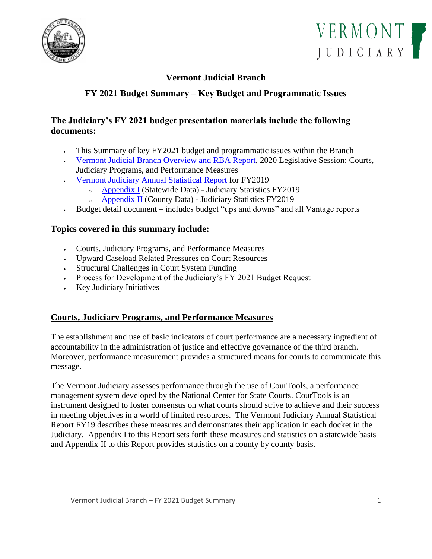



# **Vermont Judicial Branch**

# **FY 2021 Budget Summary – Key Budget and Programmatic Issues**

## **The Judiciary's FY 2021 budget presentation materials include the following documents:**

- This Summary of key FY2021 budget and programmatic issues within the Branch
- [Vermont Judicial Branch Overview](https://www.vermontjudiciary.org/sites/default/files/documents/Judicial%20Branch%20Overview%20and%20RBA%20Report%20-%20FINAL.pdf) and RBA Report, 2020 Legislative Session: Courts, Judiciary Programs, and Performance Measures
- [Vermont Judiciary Annual Statistical Report](https://www.vermontjudiciary.org/sites/default/files/documents/FY19%20Statistics%20Report%20-%20FINAL.pdf) for FY2019
	- <sup>o</sup> [Appendix I](https://www.vermontjudiciary.org/sites/default/files/documents/Appendix%20I.pdf) (Statewide Data) Judiciary Statistics FY2019
	- <sup>o</sup> [Appendix II](https://www.vermontjudiciary.org/sites/default/files/documents/Appendix%20II.pdf) (County Data) Judiciary Statistics FY2019
- Budget detail document includes budget "ups and downs" and all Vantage reports

## **Topics covered in this summary include:**

- Courts, Judiciary Programs, and Performance Measures
- Upward Caseload Related Pressures on Court Resources
- Structural Challenges in Court System Funding
- Process for Development of the Judiciary's FY 2021 Budget Request
- Key Judiciary Initiatives

## **Courts, Judiciary Programs, and Performance Measures**

The establishment and use of basic indicators of court performance are a necessary ingredient of accountability in the administration of justice and effective governance of the third branch. Moreover, performance measurement provides a structured means for courts to communicate this message.

The Vermont Judiciary assesses performance through the use of CourTools, a performance management system developed by the National Center for State Courts. CourTools is an instrument designed to foster consensus on what courts should strive to achieve and their success in meeting objectives in a world of limited resources. The Vermont Judiciary Annual Statistical Report FY19 describes these measures and demonstrates their application in each docket in the Judiciary. Appendix I to this Report sets forth these measures and statistics on a statewide basis and Appendix II to this Report provides statistics on a county by county basis.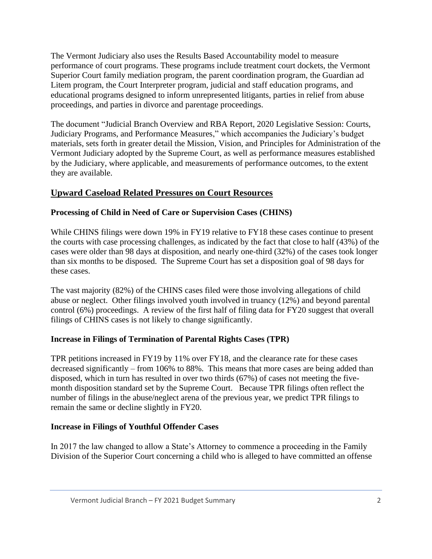The Vermont Judiciary also uses the Results Based Accountability model to measure performance of court programs. These programs include treatment court dockets, the Vermont Superior Court family mediation program, the parent coordination program, the Guardian ad Litem program, the Court Interpreter program, judicial and staff education programs, and educational programs designed to inform unrepresented litigants, parties in relief from abuse proceedings, and parties in divorce and parentage proceedings.

The document "Judicial Branch Overview and RBA Report, 2020 Legislative Session: Courts, Judiciary Programs, and Performance Measures," which accompanies the Judiciary's budget materials, sets forth in greater detail the Mission, Vision, and Principles for Administration of the Vermont Judiciary adopted by the Supreme Court, as well as performance measures established by the Judiciary, where applicable, and measurements of performance outcomes, to the extent they are available.

## **Upward Caseload Related Pressures on Court Resources**

## **Processing of Child in Need of Care or Supervision Cases (CHINS)**

While CHINS filings were down 19% in FY19 relative to FY18 these cases continue to present the courts with case processing challenges, as indicated by the fact that close to half (43%) of the cases were older than 98 days at disposition, and nearly one-third (32%) of the cases took longer than six months to be disposed. The Supreme Court has set a disposition goal of 98 days for these cases.

The vast majority (82%) of the CHINS cases filed were those involving allegations of child abuse or neglect. Other filings involved youth involved in truancy (12%) and beyond parental control (6%) proceedings. A review of the first half of filing data for FY20 suggest that overall filings of CHINS cases is not likely to change significantly.

## **Increase in Filings of Termination of Parental Rights Cases (TPR)**

TPR petitions increased in FY19 by 11% over FY18, and the clearance rate for these cases decreased significantly – from 106% to 88%. This means that more cases are being added than disposed, which in turn has resulted in over two thirds (67%) of cases not meeting the fivemonth disposition standard set by the Supreme Court. Because TPR filings often reflect the number of filings in the abuse/neglect arena of the previous year, we predict TPR filings to remain the same or decline slightly in FY20.

# **Increase in Filings of Youthful Offender Cases**

In 2017 the law changed to allow a State's Attorney to commence a proceeding in the Family Division of the Superior Court concerning a child who is alleged to have committed an offense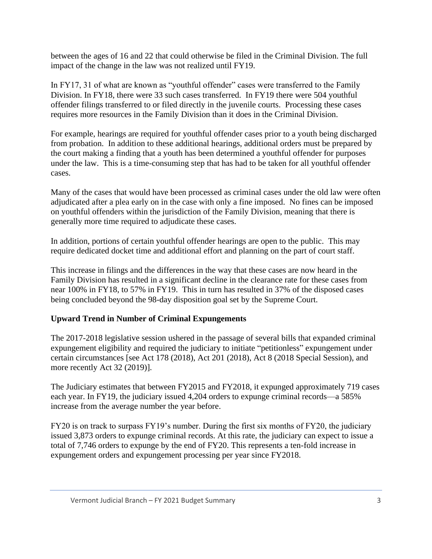between the ages of 16 and 22 that could otherwise be filed in the Criminal Division. The full impact of the change in the law was not realized until FY19.

In FY17, 31 of what are known as "youthful offender" cases were transferred to the Family Division. In FY18, there were 33 such cases transferred. In FY19 there were 504 youthful offender filings transferred to or filed directly in the juvenile courts. Processing these cases requires more resources in the Family Division than it does in the Criminal Division.

For example, hearings are required for youthful offender cases prior to a youth being discharged from probation. In addition to these additional hearings, additional orders must be prepared by the court making a finding that a youth has been determined a youthful offender for purposes under the law. This is a time-consuming step that has had to be taken for all youthful offender cases.

Many of the cases that would have been processed as criminal cases under the old law were often adjudicated after a plea early on in the case with only a fine imposed. No fines can be imposed on youthful offenders within the jurisdiction of the Family Division, meaning that there is generally more time required to adjudicate these cases.

In addition, portions of certain youthful offender hearings are open to the public. This may require dedicated docket time and additional effort and planning on the part of court staff.

This increase in filings and the differences in the way that these cases are now heard in the Family Division has resulted in a significant decline in the clearance rate for these cases from near 100% in FY18, to 57% in FY19. This in turn has resulted in 37% of the disposed cases being concluded beyond the 98-day disposition goal set by the Supreme Court.

## **Upward Trend in Number of Criminal Expungements**

The 2017-2018 legislative session ushered in the passage of several bills that expanded criminal expungement eligibility and required the judiciary to initiate "petitionless" expungement under certain circumstances [see Act 178 (2018), Act 201 (2018), Act 8 (2018 Special Session), and more recently Act 32 (2019)].

The Judiciary estimates that between FY2015 and FY2018, it expunged approximately 719 cases each year. In FY19, the judiciary issued 4,204 orders to expunge criminal records—a 585% increase from the average number the year before.

FY20 is on track to surpass FY19's number. During the first six months of FY20, the judiciary issued 3,873 orders to expunge criminal records. At this rate, the judiciary can expect to issue a total of 7,746 orders to expunge by the end of FY20. This represents a ten-fold increase in expungement orders and expungement processing per year since FY2018.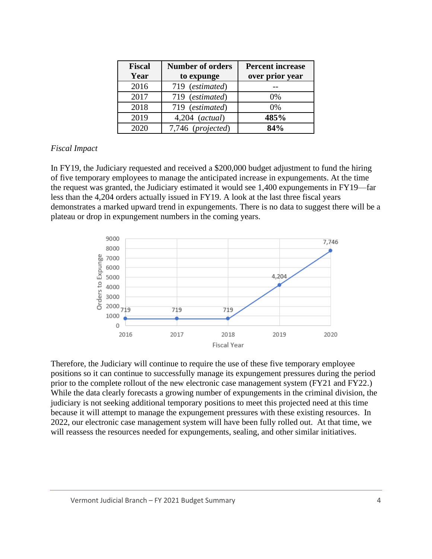| <b>Fiscal</b> | <b>Number of orders</b> | <b>Percent increase</b> |
|---------------|-------------------------|-------------------------|
| Year          | to expunge              | over prior year         |
| 2016          | 719 (estimated)         |                         |
| 2017          | 719 (estimated)         | $0\%$                   |
| 2018          | 719 (estimated)         | 0%                      |
| 2019          | $4,204$ (actual)        | 485%                    |
| 2020          | 7,746 (projected)       | 84%                     |

#### *Fiscal Impact*

In FY19, the Judiciary requested and received a \$200,000 budget adjustment to fund the hiring of five temporary employees to manage the anticipated increase in expungements. At the time the request was granted, the Judiciary estimated it would see 1,400 expungements in FY19—far less than the 4,204 orders actually issued in FY19. A look at the last three fiscal years demonstrates a marked upward trend in expungements. There is no data to suggest there will be a plateau or drop in expungement numbers in the coming years.



Therefore, the Judiciary will continue to require the use of these five temporary employee positions so it can continue to successfully manage its expungement pressures during the period prior to the complete rollout of the new electronic case management system (FY21 and FY22.) While the data clearly forecasts a growing number of expungements in the criminal division, the judiciary is not seeking additional temporary positions to meet this projected need at this time because it will attempt to manage the expungement pressures with these existing resources. In 2022, our electronic case management system will have been fully rolled out. At that time, we will reassess the resources needed for expungements, sealing, and other similar initiatives.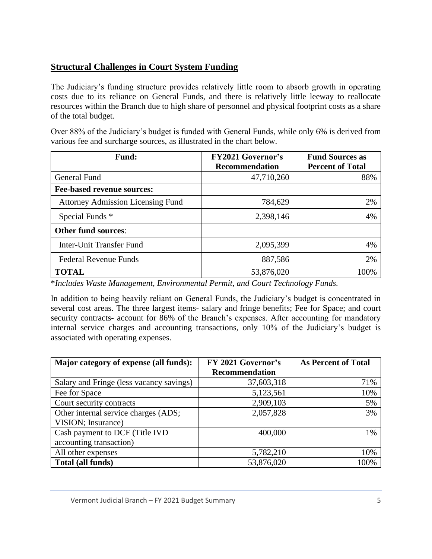# **Structural Challenges in Court System Funding**

The Judiciary's funding structure provides relatively little room to absorb growth in operating costs due to its reliance on General Funds, and there is relatively little leeway to reallocate resources within the Branch due to high share of personnel and physical footprint costs as a share of the total budget.

Over 88% of the Judiciary's budget is funded with General Funds, while only 6% is derived from various fee and surcharge sources, as illustrated in the chart below.

| <b>Fund:</b>                             | <b>FY2021 Governor's</b><br><b>Recommendation</b> | <b>Fund Sources as</b><br><b>Percent of Total</b> |
|------------------------------------------|---------------------------------------------------|---------------------------------------------------|
| General Fund                             | 47,710,260                                        | 88%                                               |
| <b>Fee-based revenue sources:</b>        |                                                   |                                                   |
| <b>Attorney Admission Licensing Fund</b> | 784,629                                           | 2%                                                |
| Special Funds *                          | 2,398,146                                         | 4%                                                |
| <b>Other fund sources:</b>               |                                                   |                                                   |
| Inter-Unit Transfer Fund                 | 2,095,399                                         | 4%                                                |
| <b>Federal Revenue Funds</b>             | 887,586                                           | 2%                                                |
| <b>TOTAL</b>                             | 53,876,020                                        | 100%                                              |

\**Includes Waste Management, Environmental Permit, and Court Technology Funds.*

In addition to being heavily reliant on General Funds, the Judiciary's budget is concentrated in several cost areas. The three largest items- salary and fringe benefits; Fee for Space; and court security contracts- account for 86% of the Branch's expenses. After accounting for mandatory internal service charges and accounting transactions, only 10% of the Judiciary's budget is associated with operating expenses.

| Major category of expense (all funds):   | FY 2021 Governor's    | <b>As Percent of Total</b> |
|------------------------------------------|-----------------------|----------------------------|
|                                          | <b>Recommendation</b> |                            |
| Salary and Fringe (less vacancy savings) | 37,603,318            | 71%                        |
| Fee for Space                            | 5,123,561             | 10%                        |
| Court security contracts                 | 2,909,103             | 5%                         |
| Other internal service charges (ADS;     | 2,057,828             | 3%                         |
| VISION; Insurance)                       |                       |                            |
| Cash payment to DCF (Title IVD           | 400,000               | 1%                         |
| accounting transaction)                  |                       |                            |
| All other expenses                       | 5,782,210             | 10%                        |
| Total (all funds)                        | 53,876,020            | 100%                       |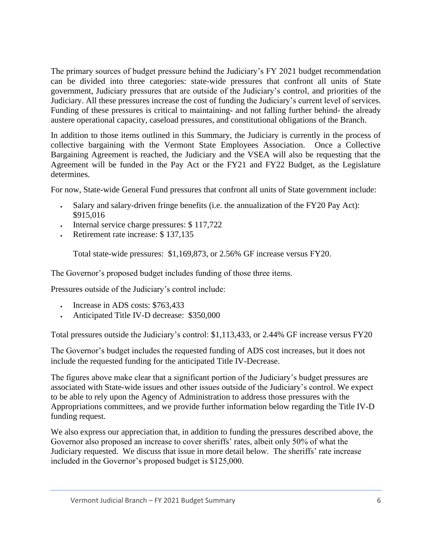The primary sources of budget pressure behind the Judiciary's FY 2021 budget recommendation can be divided into three categories: state-wide pressures that confront all units of State government, Judiciary pressures that are outside of the Judiciary's control, and priorities of the Judiciary. All these pressures increase the cost of funding the Judiciary's current level of services. Funding of these pressures is critical to maintaining- and not falling further behind- the already austere operational capacity, caseload pressures, and constitutional obligations of the Branch.

In addition to those items outlined in this Summary, the Judiciary is currently in the process of collective bargaining with the Vermont State Employees Association. Once a Collective Bargaining Agreement is reached, the Judiciary and the VSEA will also be requesting that the Agreement will be funded in the Pay Act or the FY21 and FY22 Budget, as the Legislature determines.

For now, State-wide General Fund pressures that confront all units of State government include:

- Salary and salary-driven fringe benefits (i.e. the annualization of the FY20 Pay Act): \$915,016
- Internal service charge pressures: \$117,722
- Retirement rate increase: \$137,135

Total state-wide pressures: \$1,169,873, or 2.56% GF increase versus FY20.

The Governor's proposed budget includes funding of those three items.

Pressures outside of the Judiciary's control include:

- Increase in ADS costs: \$763,433
- Anticipated Title IV-D decrease: \$350,000

Total pressures outside the Judiciary's control: \$1,113,433, or 2.44% GF increase versus FY20

The Governor's budget includes the requested funding of ADS cost increases, but it does not include the requested funding for the anticipated Title IV-Decrease.

The figures above make clear that a significant portion of the Judiciary's budget pressures are associated with State-wide issues and other issues outside of the Judiciary's control. We expect to be able to rely upon the Agency of Administration to address those pressures with the Appropriations committees, and we provide further information below regarding the Title IV-D funding request.

We also express our appreciation that, in addition to funding the pressures described above, the Governor also proposed an increase to cover sheriffs' rates, albeit only 50% of what the Judiciary requested. We discuss that issue in more detail below. The sheriffs' rate increase included in the Governor's proposed budget is \$125,000.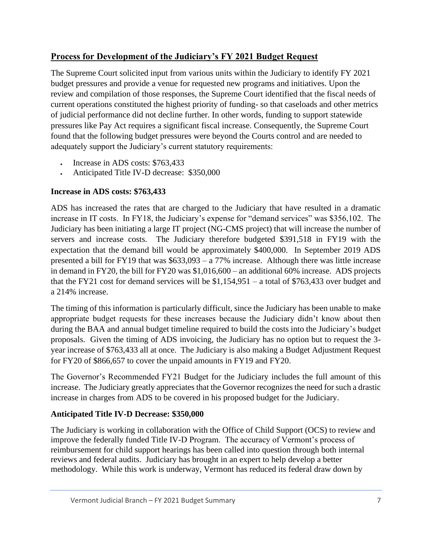# **Process for Development of the Judiciary's FY 2021 Budget Request**

The Supreme Court solicited input from various units within the Judiciary to identify FY 2021 budget pressures and provide a venue for requested new programs and initiatives. Upon the review and compilation of those responses, the Supreme Court identified that the fiscal needs of current operations constituted the highest priority of funding- so that caseloads and other metrics of judicial performance did not decline further. In other words, funding to support statewide pressures like Pay Act requires a significant fiscal increase. Consequently, the Supreme Court found that the following budget pressures were beyond the Courts control and are needed to adequately support the Judiciary's current statutory requirements:

- Increase in ADS costs: \$763,433
- Anticipated Title IV-D decrease: \$350,000

## **Increase in ADS costs: \$763,433**

ADS has increased the rates that are charged to the Judiciary that have resulted in a dramatic increase in IT costs. In FY18, the Judiciary's expense for "demand services" was \$356,102. The Judiciary has been initiating a large IT project (NG-CMS project) that will increase the number of servers and increase costs. The Judiciary therefore budgeted \$391,518 in FY19 with the expectation that the demand bill would be approximately \$400,000. In September 2019 ADS presented a bill for FY19 that was \$633,093 – a 77% increase. Although there was little increase in demand in FY20, the bill for FY20 was \$1,016,600 – an additional 60% increase. ADS projects that the FY21 cost for demand services will be \$1,154,951 – a total of \$763,433 over budget and a 214% increase.

The timing of this information is particularly difficult, since the Judiciary has been unable to make appropriate budget requests for these increases because the Judiciary didn't know about then during the BAA and annual budget timeline required to build the costs into the Judiciary's budget proposals. Given the timing of ADS invoicing, the Judiciary has no option but to request the 3 year increase of \$763,433 all at once. The Judiciary is also making a Budget Adjustment Request for FY20 of \$866,657 to cover the unpaid amounts in FY19 and FY20.

The Governor's Recommended FY21 Budget for the Judiciary includes the full amount of this increase. The Judiciary greatly appreciates that the Governor recognizes the need for such a drastic increase in charges from ADS to be covered in his proposed budget for the Judiciary.

## **Anticipated Title IV-D Decrease: \$350,000**

The Judiciary is working in collaboration with the Office of Child Support (OCS) to review and improve the federally funded Title IV-D Program. The accuracy of Vermont's process of reimbursement for child support hearings has been called into question through both internal reviews and federal audits. Judiciary has brought in an expert to help develop a better methodology. While this work is underway, Vermont has reduced its federal draw down by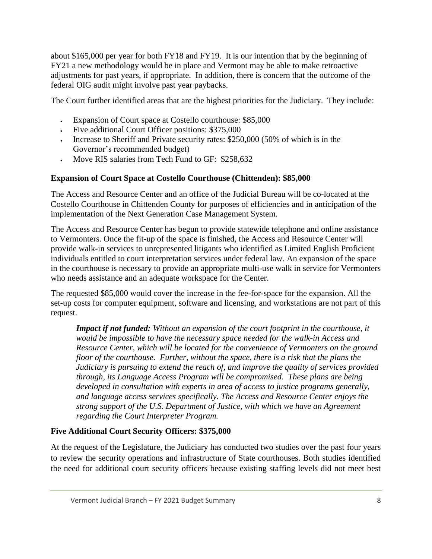about \$165,000 per year for both FY18 and FY19. It is our intention that by the beginning of FY21 a new methodology would be in place and Vermont may be able to make retroactive adjustments for past years, if appropriate. In addition, there is concern that the outcome of the federal OIG audit might involve past year paybacks.

The Court further identified areas that are the highest priorities for the Judiciary. They include:

- Expansion of Court space at Costello courthouse: \$85,000
- Five additional Court Officer positions: \$375,000
- Increase to Sheriff and Private security rates: \$250,000 (50% of which is in the Governor's recommended budget)
- Move RIS salaries from Tech Fund to GF: \$258,632

## **Expansion of Court Space at Costello Courthouse (Chittenden): \$85,000**

The Access and Resource Center and an office of the Judicial Bureau will be co-located at the Costello Courthouse in Chittenden County for purposes of efficiencies and in anticipation of the implementation of the Next Generation Case Management System.

The Access and Resource Center has begun to provide statewide telephone and online assistance to Vermonters. Once the fit-up of the space is finished, the Access and Resource Center will provide walk-in services to unrepresented litigants who identified as Limited English Proficient individuals entitled to court interpretation services under federal law. An expansion of the space in the courthouse is necessary to provide an appropriate multi-use walk in service for Vermonters who needs assistance and an adequate workspace for the Center.

The requested \$85,000 would cover the increase in the fee-for-space for the expansion. All the set-up costs for computer equipment, software and licensing, and workstations are not part of this request.

*Impact if not funded: Without an expansion of the court footprint in the courthouse, it would be impossible to have the necessary space needed for the walk-in Access and Resource Center, which will be located for the convenience of Vermonters on the ground floor of the courthouse. Further, without the space, there is a risk that the plans the Judiciary is pursuing to extend the reach of, and improve the quality of services provided through, its Language Access Program will be compromised. These plans are being developed in consultation with experts in area of access to justice programs generally, and language access services specifically. The Access and Resource Center enjoys the strong support of the U.S. Department of Justice, with which we have an Agreement regarding the Court Interpreter Program.*

# **Five Additional Court Security Officers: \$375,000**

At the request of the Legislature, the Judiciary has conducted two studies over the past four years to review the security operations and infrastructure of State courthouses. Both studies identified the need for additional court security officers because existing staffing levels did not meet best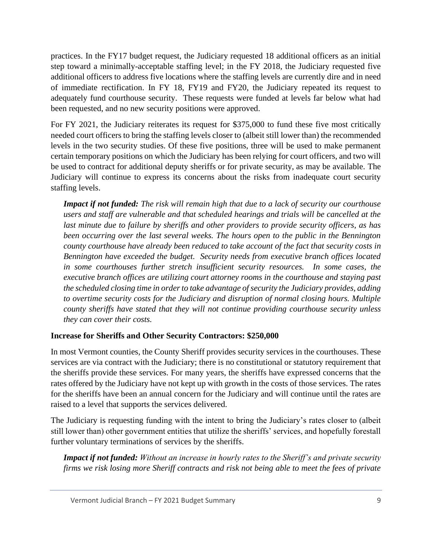practices. In the FY17 budget request, the Judiciary requested 18 additional officers as an initial step toward a minimally-acceptable staffing level; in the FY 2018, the Judiciary requested five additional officers to address five locations where the staffing levels are currently dire and in need of immediate rectification. In FY 18, FY19 and FY20, the Judiciary repeated its request to adequately fund courthouse security. These requests were funded at levels far below what had been requested, and no new security positions were approved.

For FY 2021, the Judiciary reiterates its request for \$375,000 to fund these five most critically needed court officers to bring the staffing levels closer to (albeit still lower than) the recommended levels in the two security studies. Of these five positions, three will be used to make permanent certain temporary positions on which the Judiciary has been relying for court officers, and two will be used to contract for additional deputy sheriffs or for private security, as may be available. The Judiciary will continue to express its concerns about the risks from inadequate court security staffing levels.

*Impact if not funded: The risk will remain high that due to a lack of security our courthouse users and staff are vulnerable and that scheduled hearings and trials will be cancelled at the last minute due to failure by sheriffs and other providers to provide security officers, as has been occurring over the last several weeks. The hours open to the public in the Bennington county courthouse have already been reduced to take account of the fact that security costs in Bennington have exceeded the budget. Security needs from executive branch offices located*  in some courthouses further stretch insufficient security resources. In some cases, the *executive branch offices are utilizing court attorney rooms in the courthouse and staying past the scheduled closing time in order to take advantage of security the Judiciary provides, adding to overtime security costs for the Judiciary and disruption of normal closing hours. Multiple county sheriffs have stated that they will not continue providing courthouse security unless they can cover their costs.*

## **Increase for Sheriffs and Other Security Contractors: \$250,000**

In most Vermont counties, the County Sheriff provides security services in the courthouses. These services are via contract with the Judiciary; there is no constitutional or statutory requirement that the sheriffs provide these services. For many years, the sheriffs have expressed concerns that the rates offered by the Judiciary have not kept up with growth in the costs of those services. The rates for the sheriffs have been an annual concern for the Judiciary and will continue until the rates are raised to a level that supports the services delivered.

The Judiciary is requesting funding with the intent to bring the Judiciary's rates closer to (albeit still lower than) other government entities that utilize the sheriffs' services, and hopefully forestall further voluntary terminations of services by the sheriffs.

*Impact if not funded: Without an increase in hourly rates to the Sheriff's and private security firms we risk losing more Sheriff contracts and risk not being able to meet the fees of private*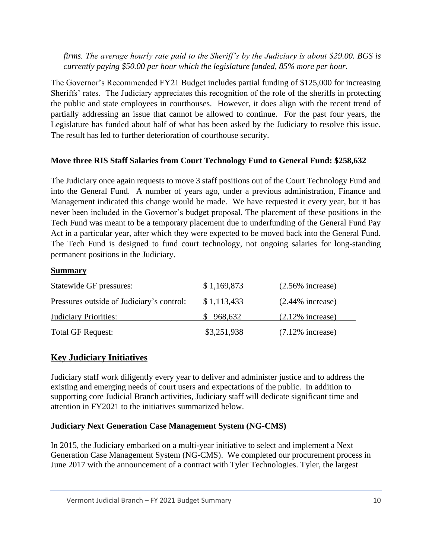*firms. The average hourly rate paid to the Sheriff's by the Judiciary is about \$29.00. BGS is currently paying \$50.00 per hour which the legislature funded, 85% more per hour.*

The Governor's Recommended FY21 Budget includes partial funding of \$125,000 for increasing Sheriffs' rates. The Judiciary appreciates this recognition of the role of the sheriffs in protecting the public and state employees in courthouses. However, it does align with the recent trend of partially addressing an issue that cannot be allowed to continue. For the past four years, the Legislature has funded about half of what has been asked by the Judiciary to resolve this issue. The result has led to further deterioration of courthouse security.

## **Move three RIS Staff Salaries from Court Technology Fund to General Fund: \$258,632**

The Judiciary once again requests to move 3 staff positions out of the Court Technology Fund and into the General Fund. A number of years ago, under a previous administration, Finance and Management indicated this change would be made. We have requested it every year, but it has never been included in the Governor's budget proposal. The placement of these positions in the Tech Fund was meant to be a temporary placement due to underfunding of the General Fund Pay Act in a particular year, after which they were expected to be moved back into the General Fund. The Tech Fund is designed to fund court technology, not ongoing salaries for long-standing permanent positions in the Judiciary.

### **Summary**

| Statewide GF pressures:                   | \$1,169,873 | $(2.56\%$ increase) |
|-------------------------------------------|-------------|---------------------|
| Pressures outside of Judiciary's control: | \$1,113,433 | $(2.44\%$ increase) |
| <b>Judiciary Priorities:</b>              | \$968,632   | $(2.12\%$ increase) |
| <b>Total GF Request:</b>                  | \$3,251,938 | $(7.12\%$ increase) |

# **Key Judiciary Initiatives**

Judiciary staff work diligently every year to deliver and administer justice and to address the existing and emerging needs of court users and expectations of the public. In addition to supporting core Judicial Branch activities, Judiciary staff will dedicate significant time and attention in FY2021 to the initiatives summarized below.

## **Judiciary Next Generation Case Management System (NG-CMS)**

In 2015, the Judiciary embarked on a multi-year initiative to select and implement a Next Generation Case Management System (NG-CMS). We completed our procurement process in June 2017 with the announcement of a contract with Tyler Technologies. Tyler, the largest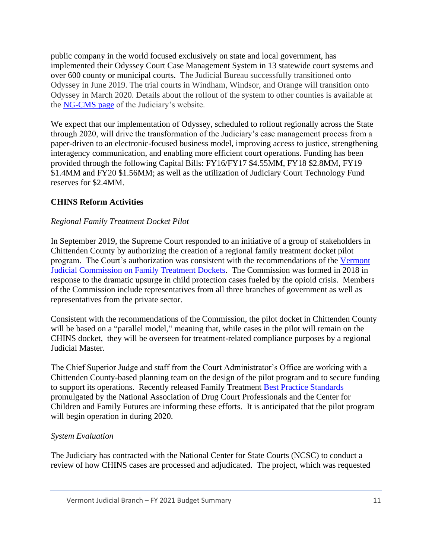public company in the world focused exclusively on state and local government, has implemented their Odyssey Court Case Management System in 13 statewide court systems and over 600 county or municipal courts. The Judicial Bureau successfully transitioned onto Odyssey in June 2019. The trial courts in Windham, Windsor, and Orange will transition onto Odyssey in March 2020. Details about the rollout of the system to other counties is available at the [NG-CMS page](https://www.vermontjudiciary.org/about-vermont-judiciary/next-generation-court-case-management-system/faq) of the Judiciary's website.

We expect that our implementation of Odyssey, scheduled to rollout regionally across the State through 2020, will drive the transformation of the Judiciary's case management process from a paper-driven to an electronic-focused business model, improving access to justice, strengthening interagency communication, and enabling more efficient court operations. Funding has been provided through the following Capital Bills: FY16/FY17 \$4.55MM, FY18 \$2.8MM, FY19 \$1.4MM and FY20 \$1.56MM; as well as the utilization of Judiciary Court Technology Fund reserves for \$2.4MM.

### **CHINS Reform Activities**

### *Regional Family Treatment Docket Pilot*

In September 2019, the Supreme Court responded to an initiative of a group of stakeholders in Chittenden County by authorizing the creation of a regional family treatment docket pilot program. The Court's authorization was consistent with the recommendations of the [Vermont](https://www.vermontjudiciary.org/about-vermont-judiciary/boards-and-committees/commission-on-family-treatment-dockets) [Judicial Commission on Family Treatment Dockets.](https://www.vermontjudiciary.org/about-vermont-judiciary/boards-and-committees/commission-on-family-treatment-dockets) The Commission was formed in 2018 in response to the dramatic upsurge in child protection cases fueled by the opioid crisis. Members of the Commission include representatives from all three branches of government as well as representatives from the private sector.

Consistent with the recommendations of the Commission, the pilot docket in Chittenden County will be based on a "parallel model," meaning that, while cases in the pilot will remain on the CHINS docket, they will be overseen for treatment-related compliance purposes by a regional Judicial Master.

The Chief Superior Judge and staff from the Court Administrator's Office are working with a Chittenden County-based planning team on the design of the pilot program and to secure funding to support its operations. Recently released Family Treatment [Best Practice Standards](https://www.nadcp.org/wp-content/uploads/2019/09/Family-Treatment-Court-Best-Practice-Standards_Final2.pdf) promulgated by the National Association of Drug Court Professionals and the Center for Children and Family Futures are informing these efforts. It is anticipated that the pilot program will begin operation in during 2020.

### *System Evaluation*

The Judiciary has contracted with the National Center for State Courts (NCSC) to conduct a review of how CHINS cases are processed and adjudicated. The project, which was requested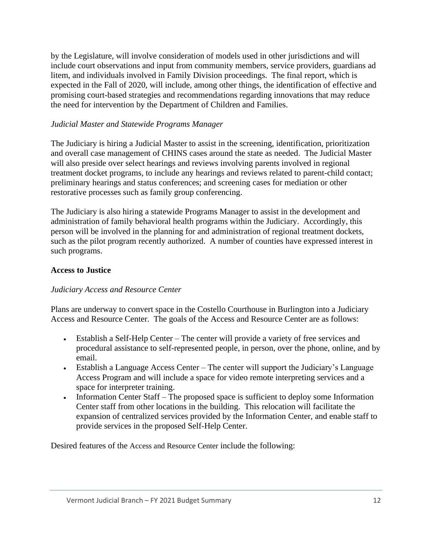by the Legislature, will involve consideration of models used in other jurisdictions and will include court observations and input from community members, service providers, guardians ad litem, and individuals involved in Family Division proceedings. The final report, which is expected in the Fall of 2020, will include, among other things, the identification of effective and promising court-based strategies and recommendations regarding innovations that may reduce the need for intervention by the Department of Children and Families.

### *Judicial Master and Statewide Programs Manager*

The Judiciary is hiring a Judicial Master to assist in the screening, identification, prioritization and overall case management of CHINS cases around the state as needed. The Judicial Master will also preside over select hearings and reviews involving parents involved in regional treatment docket programs, to include any hearings and reviews related to parent-child contact; preliminary hearings and status conferences; and screening cases for mediation or other restorative processes such as family group conferencing.

The Judiciary is also hiring a statewide Programs Manager to assist in the development and administration of family behavioral health programs within the Judiciary. Accordingly, this person will be involved in the planning for and administration of regional treatment dockets, such as the pilot program recently authorized. A number of counties have expressed interest in such programs.

#### **Access to Justice**

### *Judiciary Access and Resource Center*

Plans are underway to convert space in the Costello Courthouse in Burlington into a Judiciary Access and Resource Center. The goals of the Access and Resource Center are as follows:

- Establish a Self-Help Center The center will provide a variety of free services and procedural assistance to self-represented people, in person, over the phone, online, and by email.
- Establish a Language Access Center The center will support the Judiciary's Language Access Program and will include a space for video remote interpreting services and a space for interpreter training.
- Information Center Staff The proposed space is sufficient to deploy some Information Center staff from other locations in the building. This relocation will facilitate the expansion of centralized services provided by the Information Center, and enable staff to provide services in the proposed Self-Help Center.

Desired features of the Access and Resource Center include the following: